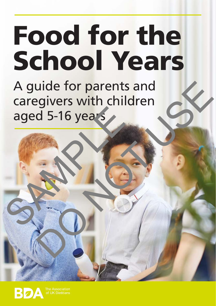# Food for the School Years

A guide for parents and caregivers with children aged 5-16 years aged 5-16 years uide for parents and<br>givers with children<br>d 5-16 years<br>and the sears<br>and the sears and the sears and the search of the search of the search of the search of the search of the search of the search of the search of the searc

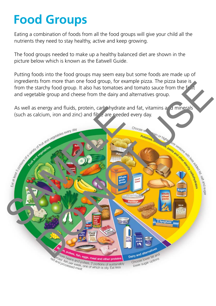# **Food Groups**

Eating a combination of foods from all the food groups will give your child all the nutrients they need to stay healthy, active and keep growing.

The food groups needed to make up a healthy balanced diet are shown in the picture below which is known as the Eatwell Guide.

Putting foods into the food groups may seem easy but some foods are made up of ingredients from more than one food group, for example pizza. The pizza base is from the starchy food group. It also has tomatoes and tomato sauce from the fruit and vegetable group and cheese from the dairy and alternatives group.

As well as energy and fluids, protein, carbohydrate and fat, vitamins and minerals (such as calcium, iron and zinc) and fiber are needed every day.

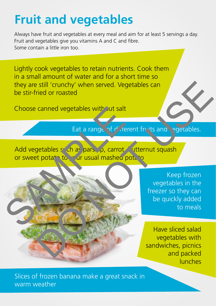## **Fruit and vegetables**

Always have fruit and vegetables at every meal and aim for at least 5 servings a day. Fruit and vegetables give you vitamins A and C and fibre. Some contain a little iron too.

Lightly cook vegetables to retain nutrients. Cook them in a small amount of water and for a short time so they are still 'crunchy' when served. Vegetables can be stir-fried or roasted

Choose canned vegetables with out salt

Eat a range of different fruits and regetables.

Add vegetables such as parsing, carrot, utternut squash or sweet potato to your usual mashed potato Choose canned vegetables with jut salt<br>Eat a range of d', rerent<br>or sweet potat to " ur usual mashed potat"<br>or sweet potat to " ur usual mashed potat"

Keep frozen vegetables in the freezer so they can be quickly added to meals extill "crunchy" when served. Vegetables can<br>
ried or roasted<br>
canned vegetables with jut salt<br>
Eat a range of d', ferent froits and egetables.<br>
getables s' ch as pars p, carrot sutternut squash<br>
the potation of the price

Have sliced salad vegetables with sandwiches, picnics and packed lunches

Slices of frozen banana make a great snack in warm weather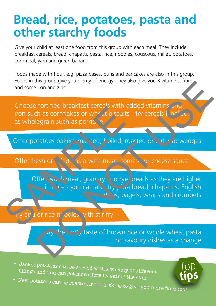### **Bread, rice, potatoes, pasta and other starchy foods**

Give your child at least one food from this group with each meal. They include breakfast cereals, bread, chapatti, pasta, rice, noodles, couscous, millet, potatoes, cornmeal, yam and green banana.

Foods made with flour, e.g. pizza bases, buns and pancakes are also in this group. Foods in this group give you plenty of energy. They also give you B vitamins, fibre and some iron and zinc.

Choose fortified breakfast cereals with added vitamins and iron such as cornflakes or wheat biscuits - try cereals  $\mathbf{I}$  be as wholegrain such as porrigen

Offer potatoes baked, mashed, boiled, roasted or cut into wedges

Offer fresh or  $\sqrt{2}$  asta with meat, tomato or cheese sauce

Offer which meal, granary and rye breads as they are higher  $\lim_{h \to \infty}$  in  $\lim_{h \to \infty}$  you can also try pitta bread, chapattis, English muthing, bagels, wraps and crumpets Offer potatoes baked may hed, biscuits - the subdegrain such as porride to the state of the state of the state of the state of the state with meat to control of the state with meat to the state with meat to the state with Substitution and zinc.<br>
Internal zinc.<br>
Internal zinc.<br>
Internal zinc.<br>
Internal zinc.<br>
Internal zinc.<br>
Internal as portion of the sixth added vitamins and<br>
Legrain such as portion of the sixth added vitamins and<br>
Legrain

#### eg u or rice noodles with stir-fry

Tre integrate of brown rice or whole wheat pasta on savoury dishes as a change

- • fillings Jacket and potatoes can be served with <sup>a</sup> variety of different fillings and you can get more fibre by eating the skin
- **tips**
- New potatoes can be roasted in their skins to give you more fibre too!